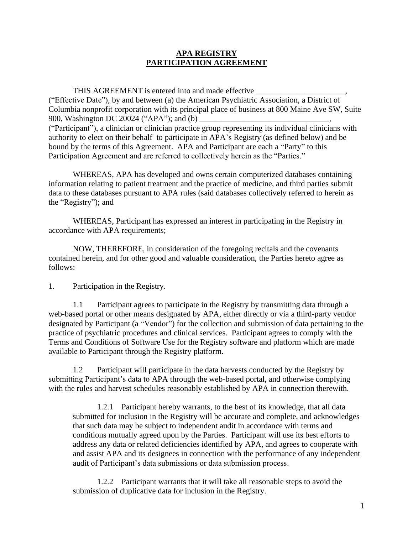## **APA REGISTRY PARTICIPATION AGREEMENT**

THIS AGREEMENT is entered into and made effective \_\_\_\_\_\_\_\_\_\_\_\_\_\_\_\_\_\_\_\_\_\_\_\_\_\_\_\_\_\_ ("Effective Date"), by and between (a) the American Psychiatric Association, a District of Columbia nonprofit corporation with its principal place of business at 800 Maine Ave SW, Suite 900, Washington DC 20024 ("APA"); and (b) ("Participant"), a clinician or clinician practice group representing its individual clinicians with authority to elect on their behalf to participate in APA's Registry (as defined below) and be bound by the terms of this Agreement. APA and Participant are each a "Party" to this Participation Agreement and are referred to collectively herein as the "Parties."

WHEREAS, APA has developed and owns certain computerized databases containing information relating to patient treatment and the practice of medicine, and third parties submit data to these databases pursuant to APA rules (said databases collectively referred to herein as the "Registry"); and

WHEREAS, Participant has expressed an interest in participating in the Registry in accordance with APA requirements;

NOW, THEREFORE, in consideration of the foregoing recitals and the covenants contained herein, and for other good and valuable consideration, the Parties hereto agree as follows:

## 1. Participation in the Registry.

1.1 Participant agrees to participate in the Registry by transmitting data through a web-based portal or other means designated by APA, either directly or via a third-party vendor designated by Participant (a "Vendor") for the collection and submission of data pertaining to the practice of psychiatric procedures and clinical services. Participant agrees to comply with the Terms and Conditions of Software Use for the Registry software and platform which are made available to Participant through the Registry platform.

1.2 Participant will participate in the data harvests conducted by the Registry by submitting Participant's data to APA through the web-based portal, and otherwise complying with the rules and harvest schedules reasonably established by APA in connection therewith.

1.2.1 Participant hereby warrants, to the best of its knowledge, that all data submitted for inclusion in the Registry will be accurate and complete, and acknowledges that such data may be subject to independent audit in accordance with terms and conditions mutually agreed upon by the Parties. Participant will use its best efforts to address any data or related deficiencies identified by APA, and agrees to cooperate with and assist APA and its designees in connection with the performance of any independent audit of Participant's data submissions or data submission process.

1.2.2 Participant warrants that it will take all reasonable steps to avoid the submission of duplicative data for inclusion in the Registry.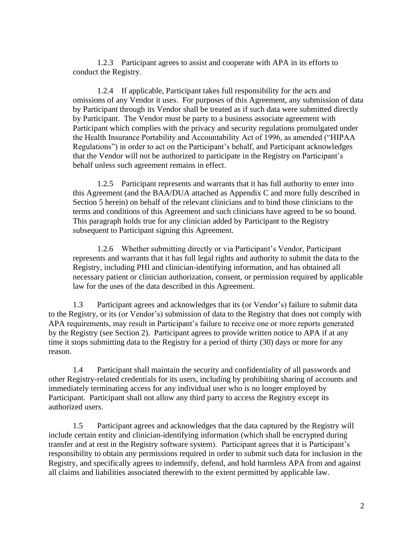1.2.3 Participant agrees to assist and cooperate with APA in its efforts to conduct the Registry.

1.2.4 If applicable, Participant takes full responsibility for the acts and omissions of any Vendor it uses. For purposes of this Agreement, any submission of data by Participant through its Vendor shall be treated as if such data were submitted directly by Participant. The Vendor must be party to a business associate agreement with Participant which complies with the privacy and security regulations promulgated under the Health Insurance Portability and Accountability Act of 1996, as amended ("HIPAA Regulations") in order to act on the Participant's behalf, and Participant acknowledges that the Vendor will not be authorized to participate in the Registry on Participant's behalf unless such agreement remains in effect.

1.2.5 Participant represents and warrants that it has full authority to enter into this Agreement (and the BAA/DUA attached as Appendix C and more fully described in Section 5 herein) on behalf of the relevant clinicians and to bind those clinicians to the terms and conditions of this Agreement and such clinicians have agreed to be so bound. This paragraph holds true for any clinician added by Participant to the Registry subsequent to Participant signing this Agreement.

1.2.6 Whether submitting directly or via Participant's Vendor, Participant represents and warrants that it has full legal rights and authority to submit the data to the Registry, including PHI and clinician-identifying information, and has obtained all necessary patient or clinician authorization, consent, or permission required by applicable law for the uses of the data described in this Agreement.

1.3 Participant agrees and acknowledges that its (or Vendor's) failure to submit data to the Registry, or its (or Vendor's) submission of data to the Registry that does not comply with APA requirements, may result in Participant's failure to receive one or more reports generated by the Registry (see Section 2). Participant agrees to provide written notice to APA if at any time it stops submitting data to the Registry for a period of thirty (30) days or more for any reason.

1.4 Participant shall maintain the security and confidentiality of all passwords and other Registry-related credentials for its users, including by prohibiting sharing of accounts and immediately terminating access for any individual user who is no longer employed by Participant. Participant shall not allow any third party to access the Registry except its authorized users.

1.5 Participant agrees and acknowledges that the data captured by the Registry will include certain entity and clinician-identifying information (which shall be encrypted during transfer and at rest in the Registry software system). Participant agrees that it is Participant's responsibility to obtain any permissions required in order to submit such data for inclusion in the Registry, and specifically agrees to indemnify, defend, and hold harmless APA from and against all claims and liabilities associated therewith to the extent permitted by applicable law.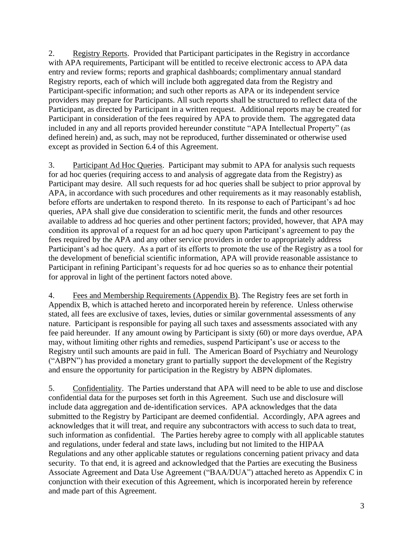2. Registry Reports. Provided that Participant participates in the Registry in accordance with APA requirements, Participant will be entitled to receive electronic access to APA data entry and review forms; reports and graphical dashboards; complimentary annual standard Registry reports, each of which will include both aggregated data from the Registry and Participant-specific information; and such other reports as APA or its independent service providers may prepare for Participants. All such reports shall be structured to reflect data of the Participant, as directed by Participant in a written request. Additional reports may be created for Participant in consideration of the fees required by APA to provide them. The aggregated data included in any and all reports provided hereunder constitute "APA Intellectual Property" (as defined herein) and, as such, may not be reproduced, further disseminated or otherwise used except as provided in Section 6.4 of this Agreement.

3. Participant Ad Hoc Queries. Participant may submit to APA for analysis such requests for ad hoc queries (requiring access to and analysis of aggregate data from the Registry) as Participant may desire. All such requests for ad hoc queries shall be subject to prior approval by APA, in accordance with such procedures and other requirements as it may reasonably establish, before efforts are undertaken to respond thereto. In its response to each of Participant's ad hoc queries, APA shall give due consideration to scientific merit, the funds and other resources available to address ad hoc queries and other pertinent factors; provided, however, that APA may condition its approval of a request for an ad hoc query upon Participant's agreement to pay the fees required by the APA and any other service providers in order to appropriately address Participant's ad hoc query. As a part of its efforts to promote the use of the Registry as a tool for the development of beneficial scientific information, APA will provide reasonable assistance to Participant in refining Participant's requests for ad hoc queries so as to enhance their potential for approval in light of the pertinent factors noted above.

4. Fees and Membership Requirements (Appendix B). The Registry fees are set forth in Appendix B, which is attached hereto and incorporated herein by reference. Unless otherwise stated, all fees are exclusive of taxes, levies, duties or similar governmental assessments of any nature. Participant is responsible for paying all such taxes and assessments associated with any fee paid hereunder. If any amount owing by Participant is sixty (60) or more days overdue, APA may, without limiting other rights and remedies, suspend Participant's use or access to the Registry until such amounts are paid in full. The American Board of Psychiatry and Neurology ("ABPN") has provided a monetary grant to partially support the development of the Registry and ensure the opportunity for participation in the Registry by ABPN diplomates.

5. Confidentiality. The Parties understand that APA will need to be able to use and disclose confidential data for the purposes set forth in this Agreement. Such use and disclosure will include data aggregation and de-identification services. APA acknowledges that the data submitted to the Registry by Participant are deemed confidential. Accordingly, APA agrees and acknowledges that it will treat, and require any subcontractors with access to such data to treat, such information as confidential. The Parties hereby agree to comply with all applicable statutes and regulations, under federal and state laws, including but not limited to the HIPAA Regulations and any other applicable statutes or regulations concerning patient privacy and data security. To that end, it is agreed and acknowledged that the Parties are executing the Business Associate Agreement and Data Use Agreement ("BAA/DUA") attached hereto as Appendix C in conjunction with their execution of this Agreement, which is incorporated herein by reference and made part of this Agreement.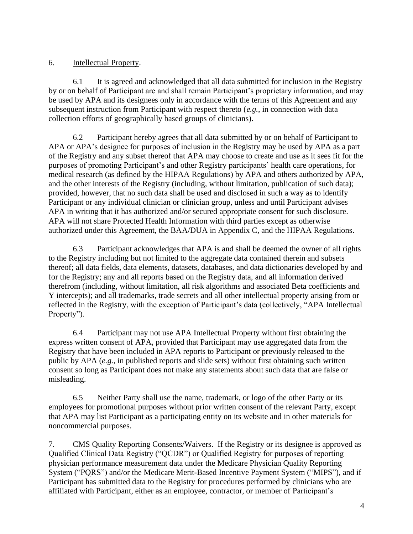## 6. Intellectual Property.

6.1 It is agreed and acknowledged that all data submitted for inclusion in the Registry by or on behalf of Participant are and shall remain Participant's proprietary information, and may be used by APA and its designees only in accordance with the terms of this Agreement and any subsequent instruction from Participant with respect thereto (*e.g.*, in connection with data collection efforts of geographically based groups of clinicians).

6.2 Participant hereby agrees that all data submitted by or on behalf of Participant to APA or APA's designee for purposes of inclusion in the Registry may be used by APA as a part of the Registry and any subset thereof that APA may choose to create and use as it sees fit for the purposes of promoting Participant's and other Registry participants' health care operations, for medical research (as defined by the HIPAA Regulations) by APA and others authorized by APA, and the other interests of the Registry (including, without limitation, publication of such data); provided, however, that no such data shall be used and disclosed in such a way as to identify Participant or any individual clinician or clinician group, unless and until Participant advises APA in writing that it has authorized and/or secured appropriate consent for such disclosure. APA will not share Protected Health Information with third parties except as otherwise authorized under this Agreement, the BAA/DUA in Appendix C, and the HIPAA Regulations.

6.3 Participant acknowledges that APA is and shall be deemed the owner of all rights to the Registry including but not limited to the aggregate data contained therein and subsets thereof; all data fields, data elements, datasets, databases, and data dictionaries developed by and for the Registry; any and all reports based on the Registry data, and all information derived therefrom (including, without limitation, all risk algorithms and associated Beta coefficients and Y intercepts); and all trademarks, trade secrets and all other intellectual property arising from or reflected in the Registry, with the exception of Participant's data (collectively, "APA Intellectual Property").

6.4 Participant may not use APA Intellectual Property without first obtaining the express written consent of APA, provided that Participant may use aggregated data from the Registry that have been included in APA reports to Participant or previously released to the public by APA (*e.g.*, in published reports and slide sets) without first obtaining such written consent so long as Participant does not make any statements about such data that are false or misleading.

6.5 Neither Party shall use the name, trademark, or logo of the other Party or its employees for promotional purposes without prior written consent of the relevant Party, except that APA may list Participant as a participating entity on its website and in other materials for noncommercial purposes.

7. CMS Quality Reporting Consents/Waivers. If the Registry or its designee is approved as Qualified Clinical Data Registry ("QCDR") or Qualified Registry for purposes of reporting physician performance measurement data under the Medicare Physician Quality Reporting System ("PQRS") and/or the Medicare Merit-Based Incentive Payment System ("MIPS"), and if Participant has submitted data to the Registry for procedures performed by clinicians who are affiliated with Participant, either as an employee, contractor, or member of Participant's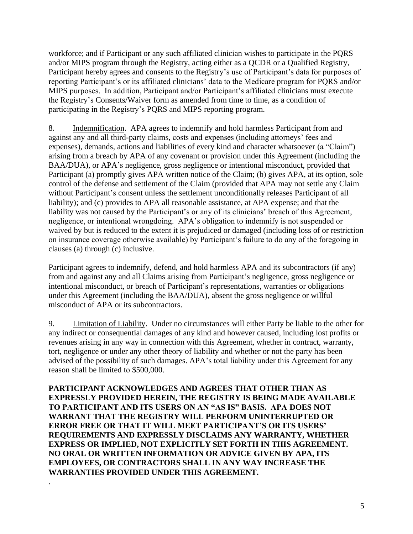workforce; and if Participant or any such affiliated clinician wishes to participate in the PQRS and/or MIPS program through the Registry, acting either as a QCDR or a Qualified Registry, Participant hereby agrees and consents to the Registry's use of Participant's data for purposes of reporting Participant's or its affiliated clinicians' data to the Medicare program for PQRS and/or MIPS purposes. In addition, Participant and/or Participant's affiliated clinicians must execute the Registry's Consents/Waiver form as amended from time to time, as a condition of participating in the Registry's PQRS and MIPS reporting program.

8. Indemnification. APA agrees to indemnify and hold harmless Participant from and against any and all third-party claims, costs and expenses (including attorneys' fees and expenses), demands, actions and liabilities of every kind and character whatsoever (a "Claim") arising from a breach by APA of any covenant or provision under this Agreement (including the BAA/DUA), or APA's negligence, gross negligence or intentional misconduct, provided that Participant (a) promptly gives APA written notice of the Claim; (b) gives APA, at its option, sole control of the defense and settlement of the Claim (provided that APA may not settle any Claim without Participant's consent unless the settlement unconditionally releases Participant of all liability); and (c) provides to APA all reasonable assistance, at APA expense; and that the liability was not caused by the Participant's or any of its clinicians' breach of this Agreement, negligence, or intentional wrongdoing. APA's obligation to indemnify is not suspended or waived by but is reduced to the extent it is prejudiced or damaged (including loss of or restriction on insurance coverage otherwise available) by Participant's failure to do any of the foregoing in clauses (a) through (c) inclusive.

Participant agrees to indemnify, defend, and hold harmless APA and its subcontractors (if any) from and against any and all Claims arising from Participant's negligence, gross negligence or intentional misconduct, or breach of Participant's representations, warranties or obligations under this Agreement (including the BAA/DUA), absent the gross negligence or willful misconduct of APA or its subcontractors.

9. Limitation of Liability. Under no circumstances will either Party be liable to the other for any indirect or consequential damages of any kind and however caused, including lost profits or revenues arising in any way in connection with this Agreement, whether in contract, warranty, tort, negligence or under any other theory of liability and whether or not the party has been advised of the possibility of such damages. APA's total liability under this Agreement for any reason shall be limited to \$500,000.

**PARTICIPANT ACKNOWLEDGES AND AGREES THAT OTHER THAN AS EXPRESSLY PROVIDED HEREIN, THE REGISTRY IS BEING MADE AVAILABLE TO PARTICIPANT AND ITS USERS ON AN "AS IS" BASIS. APA DOES NOT WARRANT THAT THE REGISTRY WILL PERFORM UNINTERRUPTED OR ERROR FREE OR THAT IT WILL MEET PARTICIPANT'S OR ITS USERS' REQUIREMENTS AND EXPRESSLY DISCLAIMS ANY WARRANTY, WHETHER EXPRESS OR IMPLIED, NOT EXPLICITLY SET FORTH IN THIS AGREEMENT. NO ORAL OR WRITTEN INFORMATION OR ADVICE GIVEN BY APA, ITS EMPLOYEES, OR CONTRACTORS SHALL IN ANY WAY INCREASE THE WARRANTIES PROVIDED UNDER THIS AGREEMENT.** 

.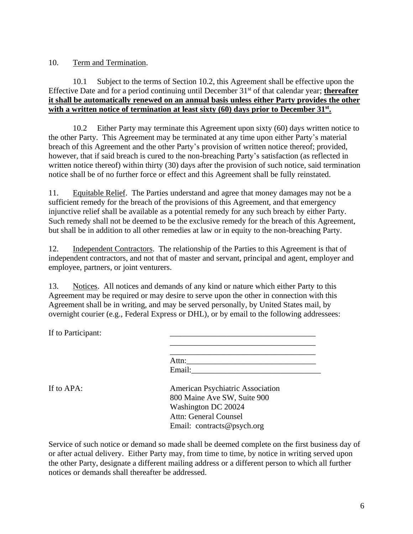## 10. Term and Termination.

## 10.1 Subject to the terms of Section 10.2, this Agreement shall be effective upon the Effective Date and for a period continuing until December 31st of that calendar year; **thereafter it shall be automatically renewed on an annual basis unless either Party provides the other with a written notice of termination at least sixty (60) days prior to December 31st .**

10.2 Either Party may terminate this Agreement upon sixty (60) days written notice to the other Party. This Agreement may be terminated at any time upon either Party's material breach of this Agreement and the other Party's provision of written notice thereof; provided, however, that if said breach is cured to the non-breaching Party's satisfaction (as reflected in written notice thereof) within thirty (30) days after the provision of such notice, said termination notice shall be of no further force or effect and this Agreement shall be fully reinstated.

11. Equitable Relief. The Parties understand and agree that money damages may not be a sufficient remedy for the breach of the provisions of this Agreement, and that emergency injunctive relief shall be available as a potential remedy for any such breach by either Party. Such remedy shall not be deemed to be the exclusive remedy for the breach of this Agreement, but shall be in addition to all other remedies at law or in equity to the non-breaching Party.

12. Independent Contractors. The relationship of the Parties to this Agreement is that of independent contractors, and not that of master and servant, principal and agent, employer and employee, partners, or joint venturers.

13. Notices. All notices and demands of any kind or nature which either Party to this Agreement may be required or may desire to serve upon the other in connection with this Agreement shall be in writing, and may be served personally, by United States mail, by overnight courier (e.g., Federal Express or DHL), or by email to the following addressees:

If to Participant:

| Attn:  |  |  |  |
|--------|--|--|--|
| Email: |  |  |  |

If to APA: American Psychiatric Association 800 Maine Ave SW, Suite 900 Washington DC 20024 Attn: General Counsel Email: contracts@psych.org

Service of such notice or demand so made shall be deemed complete on the first business day of or after actual delivery. Either Party may, from time to time, by notice in writing served upon the other Party, designate a different mailing address or a different person to which all further notices or demands shall thereafter be addressed.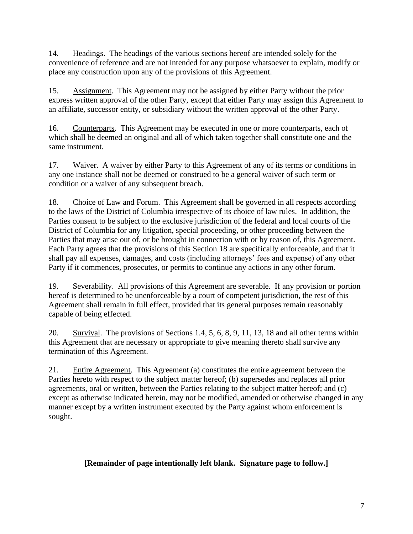14. Headings. The headings of the various sections hereof are intended solely for the convenience of reference and are not intended for any purpose whatsoever to explain, modify or place any construction upon any of the provisions of this Agreement.

15. Assignment. This Agreement may not be assigned by either Party without the prior express written approval of the other Party, except that either Party may assign this Agreement to an affiliate, successor entity, or subsidiary without the written approval of the other Party.

16. Counterparts. This Agreement may be executed in one or more counterparts, each of which shall be deemed an original and all of which taken together shall constitute one and the same instrument.

17. Waiver. A waiver by either Party to this Agreement of any of its terms or conditions in any one instance shall not be deemed or construed to be a general waiver of such term or condition or a waiver of any subsequent breach.

18. Choice of Law and Forum. This Agreement shall be governed in all respects according to the laws of the District of Columbia irrespective of its choice of law rules. In addition, the Parties consent to be subject to the exclusive jurisdiction of the federal and local courts of the District of Columbia for any litigation, special proceeding, or other proceeding between the Parties that may arise out of, or be brought in connection with or by reason of, this Agreement. Each Party agrees that the provisions of this Section 18 are specifically enforceable, and that it shall pay all expenses, damages, and costs (including attorneys' fees and expense) of any other Party if it commences, prosecutes, or permits to continue any actions in any other forum.

19. Severability. All provisions of this Agreement are severable. If any provision or portion hereof is determined to be unenforceable by a court of competent jurisdiction, the rest of this Agreement shall remain in full effect, provided that its general purposes remain reasonably capable of being effected.

20. Survival. The provisions of Sections 1.4, 5, 6, 8, 9, 11, 13, 18 and all other terms within this Agreement that are necessary or appropriate to give meaning thereto shall survive any termination of this Agreement.

21. Entire Agreement. This Agreement (a) constitutes the entire agreement between the Parties hereto with respect to the subject matter hereof; (b) supersedes and replaces all prior agreements, oral or written, between the Parties relating to the subject matter hereof; and (c) except as otherwise indicated herein, may not be modified, amended or otherwise changed in any manner except by a written instrument executed by the Party against whom enforcement is sought.

# **[Remainder of page intentionally left blank. Signature page to follow.]**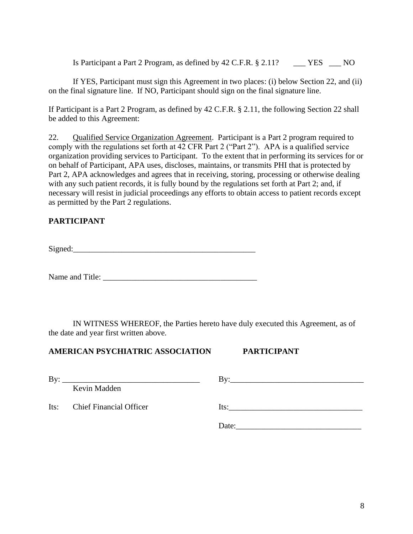Is Participant a Part 2 Program, as defined by 42 C.F.R. § 2.11? \_\_\_ YES \_\_\_ NO

If YES, Participant must sign this Agreement in two places: (i) below Section 22, and (ii) on the final signature line. If NO, Participant should sign on the final signature line.

If Participant is a Part 2 Program, as defined by 42 C.F.R. § 2.11, the following Section 22 shall be added to this Agreement:

22. Qualified Service Organization Agreement. Participant is a Part 2 program required to comply with the regulations set forth at 42 CFR Part 2 ("Part 2"). APA is a qualified service organization providing services to Participant. To the extent that in performing its services for or on behalf of Participant, APA uses, discloses, maintains, or transmits PHI that is protected by Part 2, APA acknowledges and agrees that in receiving, storing, processing or otherwise dealing with any such patient records, it is fully bound by the regulations set forth at Part 2; and, if necessary will resist in judicial proceedings any efforts to obtain access to patient records except as permitted by the Part 2 regulations.

# **PARTICIPANT**

Signed:

Name and Title:

IN WITNESS WHEREOF, the Parties hereto have duly executed this Agreement, as of the date and year first written above.

## **AMERICAN PSYCHIATRIC ASSOCIATION PARTICIPANT**

| By:  | <u> 1989 - Johann Stein, marwolaethau a bhann an t-Amhair ann an t-Amhair an t-Amhair an t-Amhair an t-Amhair an</u> |       |
|------|----------------------------------------------------------------------------------------------------------------------|-------|
|      | Kevin Madden                                                                                                         |       |
| Its: | <b>Chief Financial Officer</b>                                                                                       | Its:  |
|      |                                                                                                                      | Date: |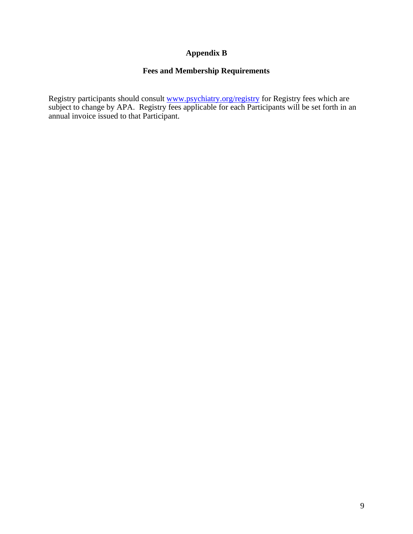# **Appendix B**

## **Fees and Membership Requirements**

Registry participants should consult [www.psychiatry.org/registry](http://www.psychiatry.org/registry) for Registry fees which are subject to change by APA. Registry fees applicable for each Participants will be set forth in an annual invoice issued to that Participant.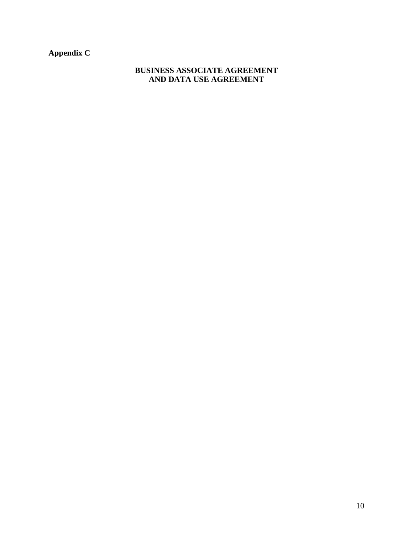**Appendix C**

## **BUSINESS ASSOCIATE AGREEMENT AND DATA USE AGREEMENT**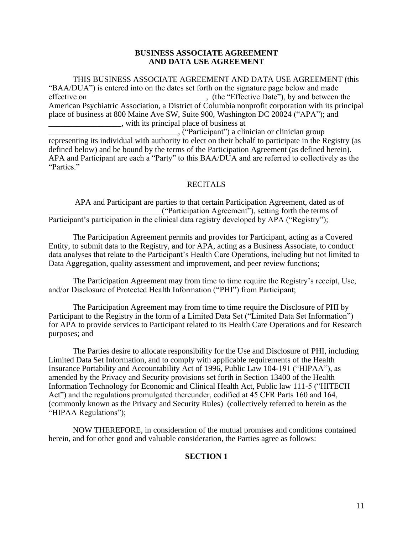### **BUSINESS ASSOCIATE AGREEMENT AND DATA USE AGREEMENT**

THIS BUSINESS ASSOCIATE AGREEMENT AND DATA USE AGREEMENT (this "BAA/DUA") is entered into on the dates set forth on the signature page below and made effective on  $($ , (the "Effective Date"), by and between the American Psychiatric Association, a District of Columbia nonprofit corporation with its principal place of business at 800 Maine Ave SW, Suite 900, Washington DC 20024 ("APA"); and **\_\_\_\_\_\_\_\_\_\_\_\_\_\_\_\_\_\_**, with its principal place of business at

\_\_\_\_\_\_\_\_\_\_\_\_\_\_\_\_\_\_\_\_\_\_\_\_\_\_\_\_\_\_\_\_, ("Participant") a clinician or clinician group representing its individual with authority to elect on their behalf to participate in the Registry (as defined below) and be bound by the terms of the Participation Agreement (as defined herein). APA and Participant are each a "Party" to this BAA/DUA and are referred to collectively as the "Parties."

## **RECITALS**

APA and Participant are parties to that certain Participation Agreement, dated as of \_\_\_\_\_\_\_\_\_\_\_\_\_\_\_\_\_\_\_\_\_\_\_\_\_\_\_\_("Participation Agreement"), setting forth the terms of Participant's participation in the clinical data registry developed by APA ("Registry");

The Participation Agreement permits and provides for Participant, acting as a Covered Entity, to submit data to the Registry, and for APA, acting as a Business Associate, to conduct data analyses that relate to the Participant's Health Care Operations, including but not limited to Data Aggregation, quality assessment and improvement, and peer review functions;

The Participation Agreement may from time to time require the Registry's receipt, Use, and/or Disclosure of Protected Health Information ("PHI") from Participant;

The Participation Agreement may from time to time require the Disclosure of PHI by Participant to the Registry in the form of a Limited Data Set ("Limited Data Set Information") for APA to provide services to Participant related to its Health Care Operations and for Research purposes; and

The Parties desire to allocate responsibility for the Use and Disclosure of PHI, including Limited Data Set Information, and to comply with applicable requirements of the Health Insurance Portability and Accountability Act of 1996, Public Law 104-191 ("HIPAA"), as amended by the Privacy and Security provisions set forth in Section 13400 of the Health Information Technology for Economic and Clinical Health Act, Public law 111-5 ("HITECH Act") and the regulations promulgated thereunder, codified at 45 CFR Parts 160 and 164, (commonly known as the Privacy and Security Rules) (collectively referred to herein as the "HIPAA Regulations");

NOW THEREFORE, in consideration of the mutual promises and conditions contained herein, and for other good and valuable consideration, the Parties agree as follows:

## **SECTION 1**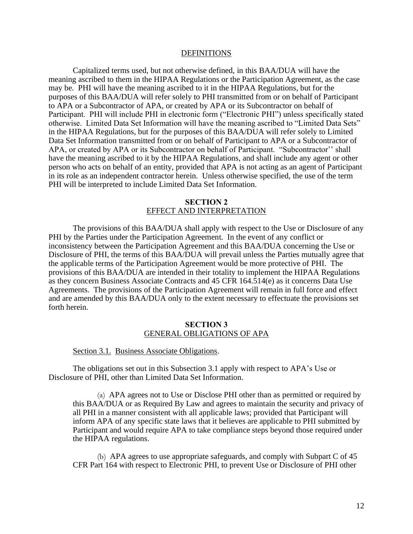#### DEFINITIONS

Capitalized terms used, but not otherwise defined, in this BAA/DUA will have the meaning ascribed to them in the HIPAA Regulations or the Participation Agreement, as the case may be. PHI will have the meaning ascribed to it in the HIPAA Regulations, but for the purposes of this BAA/DUA will refer solely to PHI transmitted from or on behalf of Participant to APA or a Subcontractor of APA, or created by APA or its Subcontractor on behalf of Participant. PHI will include PHI in electronic form ("Electronic PHI") unless specifically stated otherwise. Limited Data Set Information will have the meaning ascribed to "Limited Data Sets" in the HIPAA Regulations, but for the purposes of this BAA/DUA will refer solely to Limited Data Set Information transmitted from or on behalf of Participant to APA or a Subcontractor of APA, or created by APA or its Subcontractor on behalf of Participant. "Subcontractor'' shall have the meaning ascribed to it by the HIPAA Regulations, and shall include any agent or other person who acts on behalf of an entity, provided that APA is not acting as an agent of Participant in its role as an independent contractor herein. Unless otherwise specified, the use of the term PHI will be interpreted to include Limited Data Set Information.

### **SECTION 2** EFFECT AND INTERPRETATION

The provisions of this BAA/DUA shall apply with respect to the Use or Disclosure of any PHI by the Parties under the Participation Agreement. In the event of any conflict or inconsistency between the Participation Agreement and this BAA/DUA concerning the Use or Disclosure of PHI, the terms of this BAA/DUA will prevail unless the Parties mutually agree that the applicable terms of the Participation Agreement would be more protective of PHI. The provisions of this BAA/DUA are intended in their totality to implement the HIPAA Regulations as they concern Business Associate Contracts and 45 CFR 164.514(e) as it concerns Data Use Agreements. The provisions of the Participation Agreement will remain in full force and effect and are amended by this BAA/DUA only to the extent necessary to effectuate the provisions set forth herein.

#### **SECTION 3** GENERAL OBLIGATIONS OF APA

Section 3.1. Business Associate Obligations.

The obligations set out in this Subsection 3.1 apply with respect to APA's Use or Disclosure of PHI, other than Limited Data Set Information.

(a) APA agrees not to Use or Disclose PHI other than as permitted or required by this BAA/DUA or as Required By Law and agrees to maintain the security and privacy of all PHI in a manner consistent with all applicable laws; provided that Participant will inform APA of any specific state laws that it believes are applicable to PHI submitted by Participant and would require APA to take compliance steps beyond those required under the HIPAA regulations.

(b) APA agrees to use appropriate safeguards, and comply with Subpart C of 45 CFR Part 164 with respect to Electronic PHI, to prevent Use or Disclosure of PHI other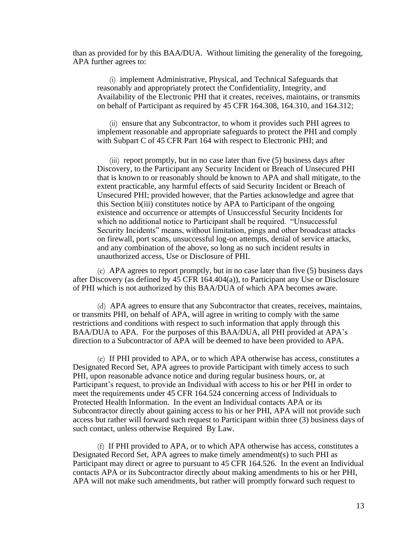than as provided for by this BAA/DUA. Without limiting the generality of the foregoing, APA further agrees to:

(i) implement Administrative, Physical, and Technical Safeguards that reasonably and appropriately protect the Confidentiality, Integrity, and Availability of the Electronic PHI that it creates, receives, maintains, or transmits on behalf of Participant as required by 45 CFR 164.308, 164.310, and 164.312;

(ii) ensure that any Subcontractor, to whom it provides such PHI agrees to implement reasonable and appropriate safeguards to protect the PHI and comply with Subpart C of 45 CFR Part 164 with respect to Electronic PHI; and

 $(iii)$  report promptly, but in no case later than five  $(5)$  business days after Discovery, to the Participant any Security Incident or Breach of Unsecured PHI that is known to or reasonably should be known to APA and shall mitigate, to the extent practicable, any harmful effects of said Security Incident or Breach of Unsecured PHI; provided however, that the Parties acknowledge and agree that this Section b(iii) constitutes notice by APA to Participant of the ongoing existence and occurrence or attempts of Unsuccessful Security Incidents for which no additional notice to Participant shall be required. "Unsuccessful Security Incidents" means, without limitation, pings and other broadcast attacks on firewall, port scans, unsuccessful log-on attempts, denial of service attacks, and any combination of the above, so long as no such incident results in unauthorized access, Use or Disclosure of PHI.

(c) APA agrees to report promptly, but in no case later than five (5) business days after Discovery (as defined by 45 CFR 164.404(a)), to Participant any Use or Disclosure of PHI which is not authorized by this BAA/DUA of which APA becomes aware.

(d) APA agrees to ensure that any Subcontractor that creates, receives, maintains, or transmits PHI, on behalf of APA, will agree in writing to comply with the same restrictions and conditions with respect to such information that apply through this BAA/DUA to APA. For the purposes of this BAA/DUA, all PHI provided at APA's direction to a Subcontractor of APA will be deemed to have been provided to APA.

(e) If PHI provided to APA, or to which APA otherwise has access, constitutes a Designated Record Set, APA agrees to provide Participant with timely access to such PHI, upon reasonable advance notice and during regular business hours, or, at Participant's request, to provide an Individual with access to his or her PHI in order to meet the requirements under 45 CFR 164.524 concerning access of Individuals to Protected Health Information. In the event an Individual contacts APA or its Subcontractor directly about gaining access to his or her PHI, APA will not provide such access but rather will forward such request to Participant within three (3) business days of such contact, unless otherwise Required By Law.

(f) If PHI provided to APA, or to which APA otherwise has access, constitutes a Designated Record Set, APA agrees to make timely amendment(s) to such PHI as Participant may direct or agree to pursuant to 45 CFR 164.526. In the event an Individual contacts APA or its Subcontractor directly about making amendments to his or her PHI, APA will not make such amendments, but rather will promptly forward such request to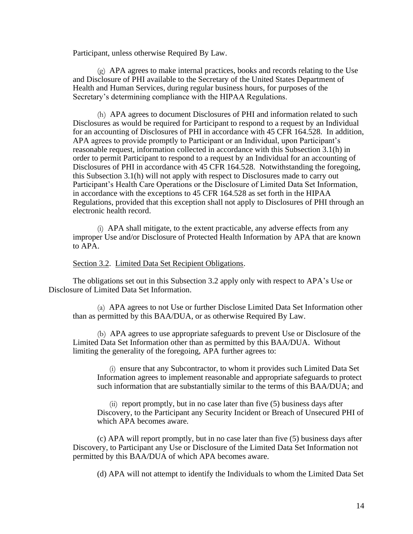Participant, unless otherwise Required By Law.

(g) APA agrees to make internal practices, books and records relating to the Use and Disclosure of PHI available to the Secretary of the United States Department of Health and Human Services, during regular business hours, for purposes of the Secretary's determining compliance with the HIPAA Regulations.

(h) APA agrees to document Disclosures of PHI and information related to such Disclosures as would be required for Participant to respond to a request by an Individual for an accounting of Disclosures of PHI in accordance with 45 CFR 164.528. In addition, APA agrees to provide promptly to Participant or an Individual, upon Participant's reasonable request, information collected in accordance with this Subsection 3.1(h) in order to permit Participant to respond to a request by an Individual for an accounting of Disclosures of PHI in accordance with 45 CFR 164.528. Notwithstanding the foregoing, this Subsection 3.1(h) will not apply with respect to Disclosures made to carry out Participant's Health Care Operations or the Disclosure of Limited Data Set Information, in accordance with the exceptions to 45 CFR 164.528 as set forth in the HIPAA Regulations, provided that this exception shall not apply to Disclosures of PHI through an electronic health record.

(i) APA shall mitigate, to the extent practicable, any adverse effects from any improper Use and/or Disclosure of Protected Health Information by APA that are known to APA.

### Section 3.2. Limited Data Set Recipient Obligations.

The obligations set out in this Subsection 3.2 apply only with respect to APA's Use or Disclosure of Limited Data Set Information.

(a) APA agrees to not Use or further Disclose Limited Data Set Information other than as permitted by this BAA/DUA, or as otherwise Required By Law.

(b) APA agrees to use appropriate safeguards to prevent Use or Disclosure of the Limited Data Set Information other than as permitted by this BAA/DUA. Without limiting the generality of the foregoing, APA further agrees to:

(i) ensure that any Subcontractor, to whom it provides such Limited Data Set Information agrees to implement reasonable and appropriate safeguards to protect such information that are substantially similar to the terms of this BAA/DUA; and

 $(ii)$  report promptly, but in no case later than five (5) business days after Discovery, to the Participant any Security Incident or Breach of Unsecured PHI of which APA becomes aware.

(c) APA will report promptly, but in no case later than five (5) business days after Discovery, to Participant any Use or Disclosure of the Limited Data Set Information not permitted by this BAA/DUA of which APA becomes aware.

(d) APA will not attempt to identify the Individuals to whom the Limited Data Set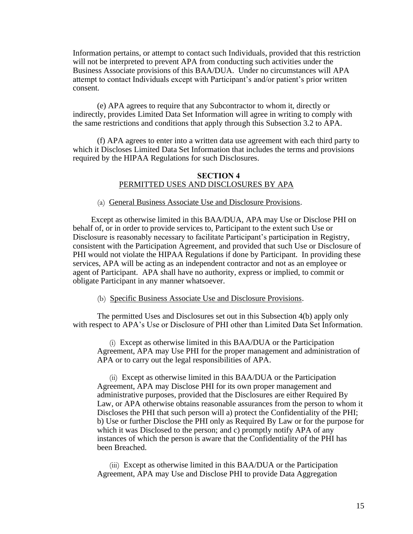Information pertains, or attempt to contact such Individuals, provided that this restriction will not be interpreted to prevent APA from conducting such activities under the Business Associate provisions of this BAA/DUA. Under no circumstances will APA attempt to contact Individuals except with Participant's and/or patient's prior written consent.

(e) APA agrees to require that any Subcontractor to whom it, directly or indirectly, provides Limited Data Set Information will agree in writing to comply with the same restrictions and conditions that apply through this Subsection 3.2 to APA.

(f) APA agrees to enter into a written data use agreement with each third party to which it Discloses Limited Data Set Information that includes the terms and provisions required by the HIPAA Regulations for such Disclosures.

### **SECTION 4** PERMITTED USES AND DISCLOSURES BY APA

(a) General Business Associate Use and Disclosure Provisions.

Except as otherwise limited in this BAA/DUA, APA may Use or Disclose PHI on behalf of, or in order to provide services to, Participant to the extent such Use or Disclosure is reasonably necessary to facilitate Participant's participation in Registry, consistent with the Participation Agreement, and provided that such Use or Disclosure of PHI would not violate the HIPAA Regulations if done by Participant. In providing these services, APA will be acting as an independent contractor and not as an employee or agent of Participant. APA shall have no authority, express or implied, to commit or obligate Participant in any manner whatsoever.

### (b) Specific Business Associate Use and Disclosure Provisions.

The permitted Uses and Disclosures set out in this Subsection 4(b) apply only with respect to APA's Use or Disclosure of PHI other than Limited Data Set Information.

(i) Except as otherwise limited in this BAA/DUA or the Participation Agreement, APA may Use PHI for the proper management and administration of APA or to carry out the legal responsibilities of APA.

(ii) Except as otherwise limited in this BAA/DUA or the Participation Agreement, APA may Disclose PHI for its own proper management and administrative purposes, provided that the Disclosures are either Required By Law, or APA otherwise obtains reasonable assurances from the person to whom it Discloses the PHI that such person will a) protect the Confidentiality of the PHI; b) Use or further Disclose the PHI only as Required By Law or for the purpose for which it was Disclosed to the person; and c) promptly notify APA of any instances of which the person is aware that the Confidentiality of the PHI has been Breached.

(iii) Except as otherwise limited in this BAA/DUA or the Participation Agreement, APA may Use and Disclose PHI to provide Data Aggregation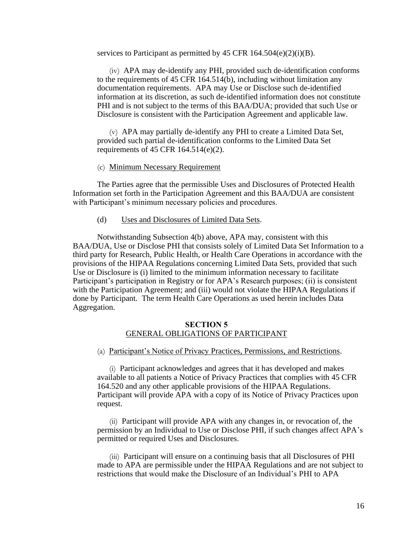services to Participant as permitted by 45 CFR  $164.504(e)(2)(i)(B)$ .

(iv) APA may de-identify any PHI, provided such de-identification conforms to the requirements of 45 CFR 164.514(b), including without limitation any documentation requirements. APA may Use or Disclose such de-identified information at its discretion, as such de-identified information does not constitute PHI and is not subject to the terms of this BAA/DUA; provided that such Use or Disclosure is consistent with the Participation Agreement and applicable law.

(v) APA may partially de-identify any PHI to create a Limited Data Set, provided such partial de-identification conforms to the Limited Data Set requirements of 45 CFR 164.514(e)(2).

### (c) Minimum Necessary Requirement

The Parties agree that the permissible Uses and Disclosures of Protected Health Information set forth in the Participation Agreement and this BAA/DUA are consistent with Participant's minimum necessary policies and procedures.

### (d) Uses and Disclosures of Limited Data Sets.

Notwithstanding Subsection 4(b) above, APA may, consistent with this BAA/DUA, Use or Disclose PHI that consists solely of Limited Data Set Information to a third party for Research, Public Health, or Health Care Operations in accordance with the provisions of the HIPAA Regulations concerning Limited Data Sets, provided that such Use or Disclosure is (i) limited to the minimum information necessary to facilitate Participant's participation in Registry or for APA's Research purposes; (ii) is consistent with the Participation Agreement; and (iii) would not violate the HIPAA Regulations if done by Participant. The term Health Care Operations as used herein includes Data Aggregation.

#### **SECTION 5** GENERAL OBLIGATIONS OF PARTICIPANT

(a) Participant's Notice of Privacy Practices, Permissions, and Restrictions.

(i) Participant acknowledges and agrees that it has developed and makes available to all patients a Notice of Privacy Practices that complies with 45 CFR 164.520 and any other applicable provisions of the HIPAA Regulations. Participant will provide APA with a copy of its Notice of Privacy Practices upon request.

(ii) Participant will provide APA with any changes in, or revocation of, the permission by an Individual to Use or Disclose PHI, if such changes affect APA's permitted or required Uses and Disclosures.

(iii) Participant will ensure on a continuing basis that all Disclosures of PHI made to APA are permissible under the HIPAA Regulations and are not subject to restrictions that would make the Disclosure of an Individual's PHI to APA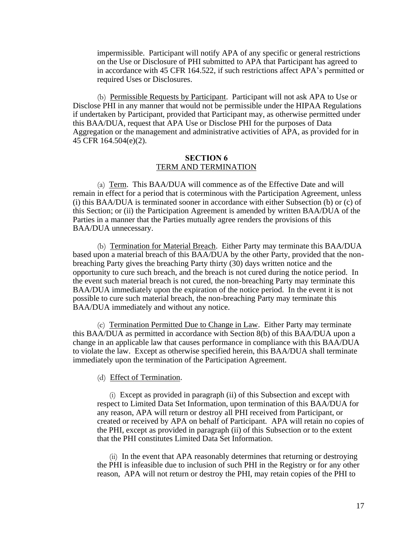impermissible. Participant will notify APA of any specific or general restrictions on the Use or Disclosure of PHI submitted to APA that Participant has agreed to in accordance with 45 CFR 164.522, if such restrictions affect APA's permitted or required Uses or Disclosures.

(b) Permissible Requests by Participant. Participant will not ask APA to Use or Disclose PHI in any manner that would not be permissible under the HIPAA Regulations if undertaken by Participant, provided that Participant may, as otherwise permitted under this BAA/DUA, request that APA Use or Disclose PHI for the purposes of Data Aggregation or the management and administrative activities of APA, as provided for in 45 CFR 164.504(e)(2).

### **SECTION 6** TERM AND TERMINATION

(a) Term. This BAA/DUA will commence as of the Effective Date and will remain in effect for a period that is coterminous with the Participation Agreement, unless (i) this BAA/DUA is terminated sooner in accordance with either Subsection (b) or (c) of this Section; or (ii) the Participation Agreement is amended by written BAA/DUA of the Parties in a manner that the Parties mutually agree renders the provisions of this BAA/DUA unnecessary.

(b) Termination for Material Breach. Either Party may terminate this BAA/DUA based upon a material breach of this BAA/DUA by the other Party, provided that the nonbreaching Party gives the breaching Party thirty (30) days written notice and the opportunity to cure such breach, and the breach is not cured during the notice period. In the event such material breach is not cured, the non-breaching Party may terminate this BAA/DUA immediately upon the expiration of the notice period. In the event it is not possible to cure such material breach, the non-breaching Party may terminate this BAA/DUA immediately and without any notice.

(c) Termination Permitted Due to Change in Law. Either Party may terminate this BAA/DUA as permitted in accordance with Section 8(b) of this BAA/DUA upon a change in an applicable law that causes performance in compliance with this BAA/DUA to violate the law. Except as otherwise specified herein, this BAA/DUA shall terminate immediately upon the termination of the Participation Agreement.

### (d) Effect of Termination.

(i) Except as provided in paragraph (ii) of this Subsection and except with respect to Limited Data Set Information, upon termination of this BAA/DUA for any reason, APA will return or destroy all PHI received from Participant, or created or received by APA on behalf of Participant. APA will retain no copies of the PHI, except as provided in paragraph (ii) of this Subsection or to the extent that the PHI constitutes Limited Data Set Information.

(ii) In the event that APA reasonably determines that returning or destroying the PHI is infeasible due to inclusion of such PHI in the Registry or for any other reason, APA will not return or destroy the PHI, may retain copies of the PHI to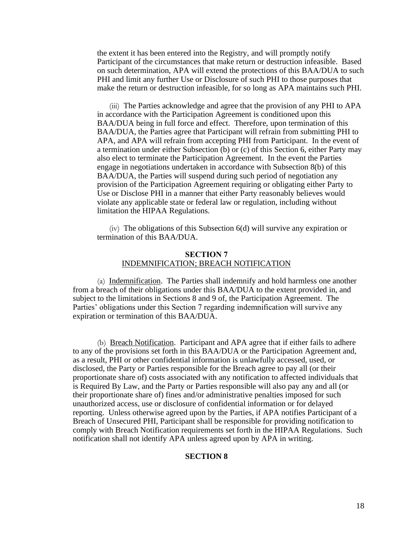the extent it has been entered into the Registry, and will promptly notify Participant of the circumstances that make return or destruction infeasible. Based on such determination, APA will extend the protections of this BAA/DUA to such PHI and limit any further Use or Disclosure of such PHI to those purposes that make the return or destruction infeasible, for so long as APA maintains such PHI.

(iii) The Parties acknowledge and agree that the provision of any PHI to APA in accordance with the Participation Agreement is conditioned upon this BAA/DUA being in full force and effect. Therefore, upon termination of this BAA/DUA, the Parties agree that Participant will refrain from submitting PHI to APA, and APA will refrain from accepting PHI from Participant. In the event of a termination under either Subsection (b) or (c) of this Section 6, either Party may also elect to terminate the Participation Agreement. In the event the Parties engage in negotiations undertaken in accordance with Subsection 8(b) of this BAA/DUA, the Parties will suspend during such period of negotiation any provision of the Participation Agreement requiring or obligating either Party to Use or Disclose PHI in a manner that either Party reasonably believes would violate any applicable state or federal law or regulation, including without limitation the HIPAA Regulations.

 $(iv)$  The obligations of this Subsection  $6(d)$  will survive any expiration or termination of this BAA/DUA.

### **SECTION 7** INDEMNIFICATION; BREACH NOTIFICATION

(a) Indemnification. The Parties shall indemnify and hold harmless one another from a breach of their obligations under this BAA/DUA to the extent provided in, and subject to the limitations in Sections 8 and 9 of, the Participation Agreement. The Parties' obligations under this Section 7 regarding indemnification will survive any expiration or termination of this BAA/DUA.

(b) Breach Notification. Participant and APA agree that if either fails to adhere to any of the provisions set forth in this BAA/DUA or the Participation Agreement and, as a result, PHI or other confidential information is unlawfully accessed, used, or disclosed, the Party or Parties responsible for the Breach agree to pay all (or their proportionate share of) costs associated with any notification to affected individuals that is Required By Law, and the Party or Parties responsible will also pay any and all (or their proportionate share of) fines and/or administrative penalties imposed for such unauthorized access, use or disclosure of confidential information or for delayed reporting. Unless otherwise agreed upon by the Parties, if APA notifies Participant of a Breach of Unsecured PHI, Participant shall be responsible for providing notification to comply with Breach Notification requirements set forth in the HIPAA Regulations. Such notification shall not identify APA unless agreed upon by APA in writing.

### **SECTION 8**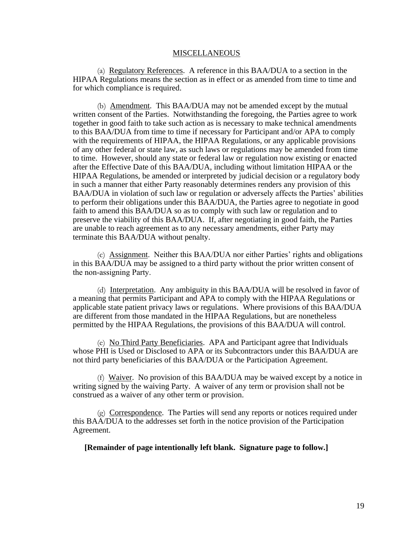#### MISCELLANEOUS

(a) Regulatory References. A reference in this BAA/DUA to a section in the HIPAA Regulations means the section as in effect or as amended from time to time and for which compliance is required.

(b) Amendment. This BAA/DUA may not be amended except by the mutual written consent of the Parties. Notwithstanding the foregoing, the Parties agree to work together in good faith to take such action as is necessary to make technical amendments to this BAA/DUA from time to time if necessary for Participant and/or APA to comply with the requirements of HIPAA, the HIPAA Regulations, or any applicable provisions of any other federal or state law, as such laws or regulations may be amended from time to time. However, should any state or federal law or regulation now existing or enacted after the Effective Date of this BAA/DUA, including without limitation HIPAA or the HIPAA Regulations, be amended or interpreted by judicial decision or a regulatory body in such a manner that either Party reasonably determines renders any provision of this BAA/DUA in violation of such law or regulation or adversely affects the Parties' abilities to perform their obligations under this BAA/DUA, the Parties agree to negotiate in good faith to amend this BAA/DUA so as to comply with such law or regulation and to preserve the viability of this BAA/DUA. If, after negotiating in good faith, the Parties are unable to reach agreement as to any necessary amendments, either Party may terminate this BAA/DUA without penalty.

(c) Assignment. Neither this BAA/DUA nor either Parties' rights and obligations in this BAA/DUA may be assigned to a third party without the prior written consent of the non‐assigning Party.

(d) Interpretation. Any ambiguity in this BAA/DUA will be resolved in favor of a meaning that permits Participant and APA to comply with the HIPAA Regulations or applicable state patient privacy laws or regulations. Where provisions of this BAA/DUA are different from those mandated in the HIPAA Regulations, but are nonetheless permitted by the HIPAA Regulations, the provisions of this BAA/DUA will control.

(e) No Third Party Beneficiaries. APA and Participant agree that Individuals whose PHI is Used or Disclosed to APA or its Subcontractors under this BAA/DUA are not third party beneficiaries of this BAA/DUA or the Participation Agreement.

(f) Waiver. No provision of this BAA/DUA may be waived except by a notice in writing signed by the waiving Party. A waiver of any term or provision shall not be construed as a waiver of any other term or provision.

 $\varphi$ ) Correspondence. The Parties will send any reports or notices required under this BAA/DUA to the addresses set forth in the notice provision of the Participation Agreement.

**[Remainder of page intentionally left blank. Signature page to follow.]**